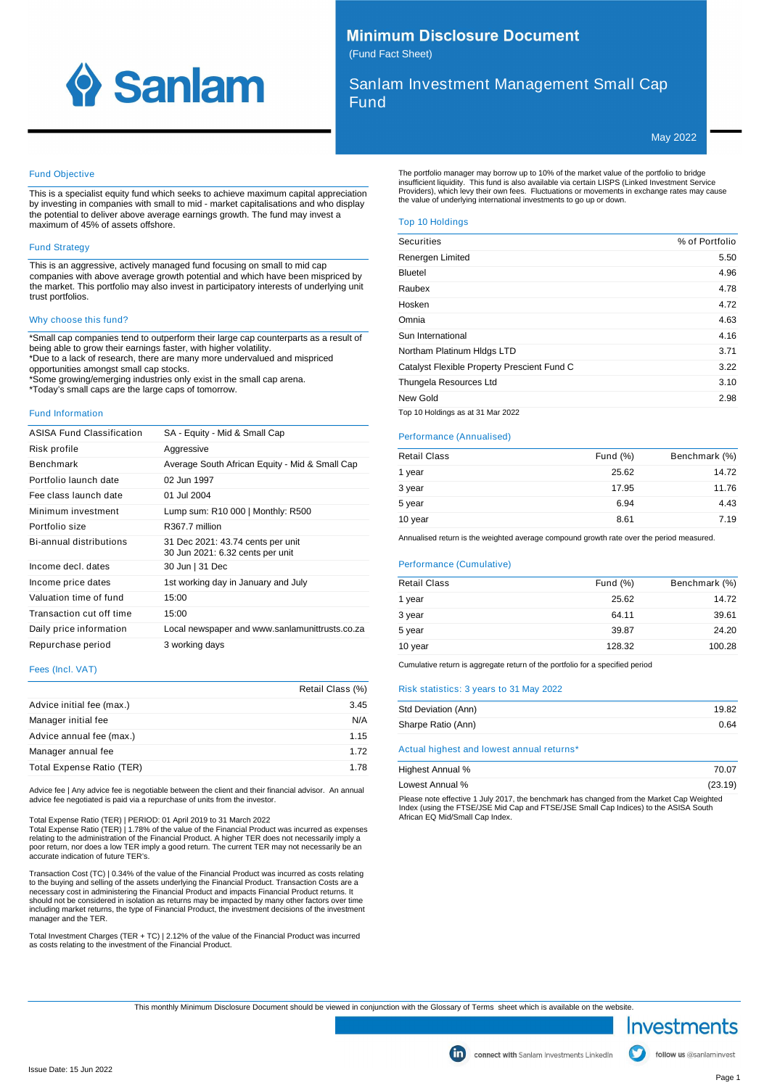

# **Minimum Disclosure Document** (Fund Fact Sheet)

Sanlam Investment Management Small Cap Fund

May 2022

# Fund Objective

This is a specialist equity fund which seeks to achieve maximum capital appreciation by investing in companies with small to mid - market capitalisations and who display the potential to deliver above average earnings growth. The fund may invest a maximum of 45% of assets offshore.

# Fund Strategy

This is an aggressive, actively managed fund focusing on small to mid cap companies with above average growth potential and which have been mispriced by the market. This portfolio may also invest in participatory interests of underlying unit trust portfolios.

## Why choose this fund?

\*Small cap companies tend to outperform their large cap counterparts as a result of being able to grow their earnings faster, with higher volatility. \*Due to a lack of research, there are many more undervalued and mispriced opportunities amongst small cap stocks.

\*Some growing/emerging industries only exist in the small cap arena. \*Today's small caps are the large caps of tomorrow.

#### Fund Information

| <b>ASISA Fund Classification</b> | SA - Equity - Mid & Small Cap                                         |
|----------------------------------|-----------------------------------------------------------------------|
| Risk profile                     | Aggressive                                                            |
| <b>Benchmark</b>                 | Average South African Equity - Mid & Small Cap                        |
| Portfolio launch date            | 02 Jun 1997                                                           |
| Fee class launch date            | 01 Jul 2004                                                           |
| Minimum investment               | Lump sum: R10 000   Monthly: R500                                     |
| Portfolio size                   | R367.7 million                                                        |
| Bi-annual distributions          | 31 Dec 2021: 43.74 cents per unit<br>30 Jun 2021: 6.32 cents per unit |
| Income decl. dates               | 30 Jun   31 Dec                                                       |
| Income price dates               | 1st working day in January and July                                   |
| Valuation time of fund           | 15:00                                                                 |
| Transaction cut off time         | 15:00                                                                 |
| Daily price information          | Local newspaper and www.sanlamunittrusts.co.za                        |
| Repurchase period                | 3 working days                                                        |

## Fees (Incl. VAT)

|                           | Retail Class (%) |
|---------------------------|------------------|
| Advice initial fee (max.) | 3.45             |
| Manager initial fee       | N/A              |
| Advice annual fee (max.)  | 1.15             |
| Manager annual fee        | 1.72             |
| Total Expense Ratio (TER) | 1.78             |

Advice fee | Any advice fee is negotiable between the client and their financial advisor. An annual advice fee negotiated is paid via a repurchase of units from the investor.

Total Expense Ratio (TER) | PERIOD: 01 April 2019 to 31 March 2022

Total Expense Ratio (TER) | 1.78% of the value of the Financial Product was incurred as expenses<br>relating to the administration of the Financial Product. A higher TER does not necessarily imply a<br>poor return, nor does a lo accurate indication of future TER's.

Transaction Cost (TC) | 0.34% of the value of the Financial Product was incurred as costs relating to the buying and selling of the assets underlying the Financial Product. Transaction Costs are a<br>necessary cost in administering the Financial Product and impacts Financial Product returns. It<br>should not be considered in including market returns, the type of Financial Product, the investment decisions of the investment manager and the TER.

Total Investment Charges (TER + TC) | 2.12% of the value of the Financial Product was incurred as costs relating to the investment of the Financial Product.

The portfolio manager may borrow up to 10% of the market value of the portfolio to bridge<br>insufficient liquidity. This fund is also available via certain LISPS (Linked Investment Service<br>Providers), which levy their own fe

## Top 10 Holdings

| <b>Securities</b>                           | % of Portfolio |
|---------------------------------------------|----------------|
| Renergen Limited                            | 5.50           |
| Bluetel                                     | 4.96           |
| Raubex                                      | 4.78           |
| Hosken                                      | 4.72           |
| Omnia                                       | 4.63           |
| Sun International                           | 4.16           |
| Northam Platinum HIdgs LTD                  | 3.71           |
| Catalyst Flexible Property Prescient Fund C | 3.22           |
| Thungela Resources Ltd                      | 3.10           |
| New Gold                                    | 2.98           |
|                                             |                |

Top 10 Holdings as at 31 Mar 2022

### Performance (Annualised)

| <b>Retail Class</b> | Fund $(\%)$ | Benchmark (%) |
|---------------------|-------------|---------------|
| 1 year              | 25.62       | 14.72         |
| 3 year              | 17.95       | 11.76         |
| 5 year              | 6.94        | 4.43          |
| 10 year             | 8.61        | 7.19          |

Annualised return is the weighted average compound growth rate over the period measured.

# Performance (Cumulative)

| <b>Retail Class</b> | Fund $(\%)$ | Benchmark (%) |
|---------------------|-------------|---------------|
| 1 year              | 25.62       | 14.72         |
| 3 year              | 64.11       | 39.61         |
| 5 year              | 39.87       | 24.20         |
| 10 year             | 128.32      | 100.28        |
|                     |             |               |

Cumulative return is aggregate return of the portfolio for a specified period

## Risk statistics: 3 years to 31 May 2022

| Std Deviation (Ann) | 19.82 |
|---------------------|-------|
| Sharpe Ratio (Ann)  | 0.64  |

Actual highest and lowest annual returns\*

| Highest Annual % | 70.07                                                                                                         |
|------------------|---------------------------------------------------------------------------------------------------------------|
| Lowest Annual %  | (23.19)                                                                                                       |
|                  | Discovered alterative distribution of the beach accelerate to a characteristic and the Martin Card Michael Co |

Please note effective 1 July 2017, the benchmark has changed from the Market Cap Weighted<br>Index (using the FTSE/JSE Mid Cap and FTSE/JSE Small Cap Indices) to the ASISA South<br>African EQ Mid/Small Cap Index.

This monthly Minimum Disclosure Document should be viewed in conjunction with the Glossary of Terms sheet which is available on the website.

Investments

follow us @sanlaminvest